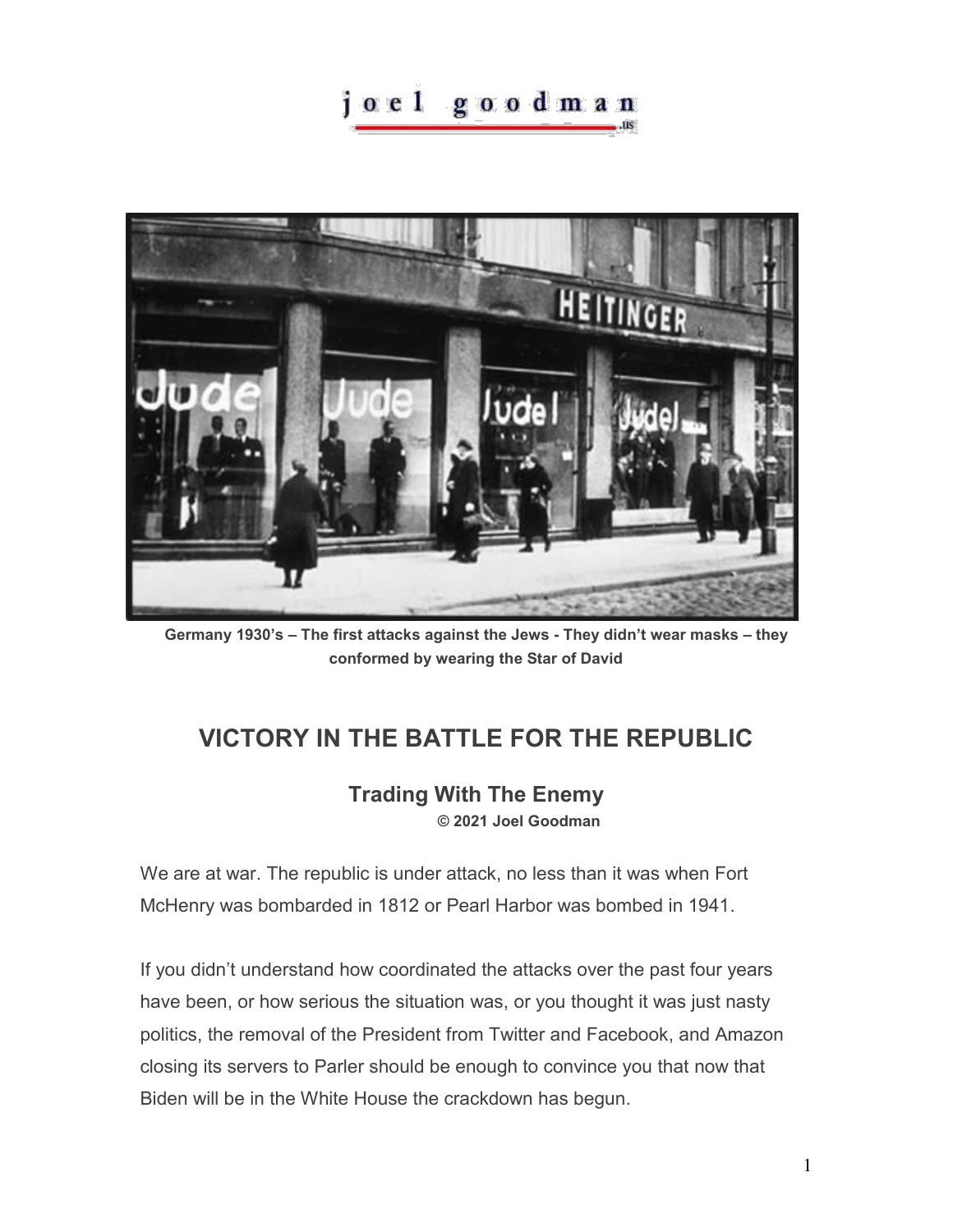## joel goodman



**Germany 1930's – The first attacks against the Jews - They didn't wear masks – they conformed by wearing the Star of David** 

## **VICTORY IN THE BATTLE FOR THE REPUBLIC**

## **Trading With The Enemy © 2021 Joel Goodman**

We are at war. The republic is under attack, no less than it was when Fort McHenry was bombarded in 1812 or Pearl Harbor was bombed in 1941.

If you didn't understand how coordinated the attacks over the past four years have been, or how serious the situation was, or you thought it was just nasty politics, the removal of the President from Twitter and Facebook, and Amazon closing its servers to Parler should be enough to convince you that now that Biden will be in the White House the crackdown has begun.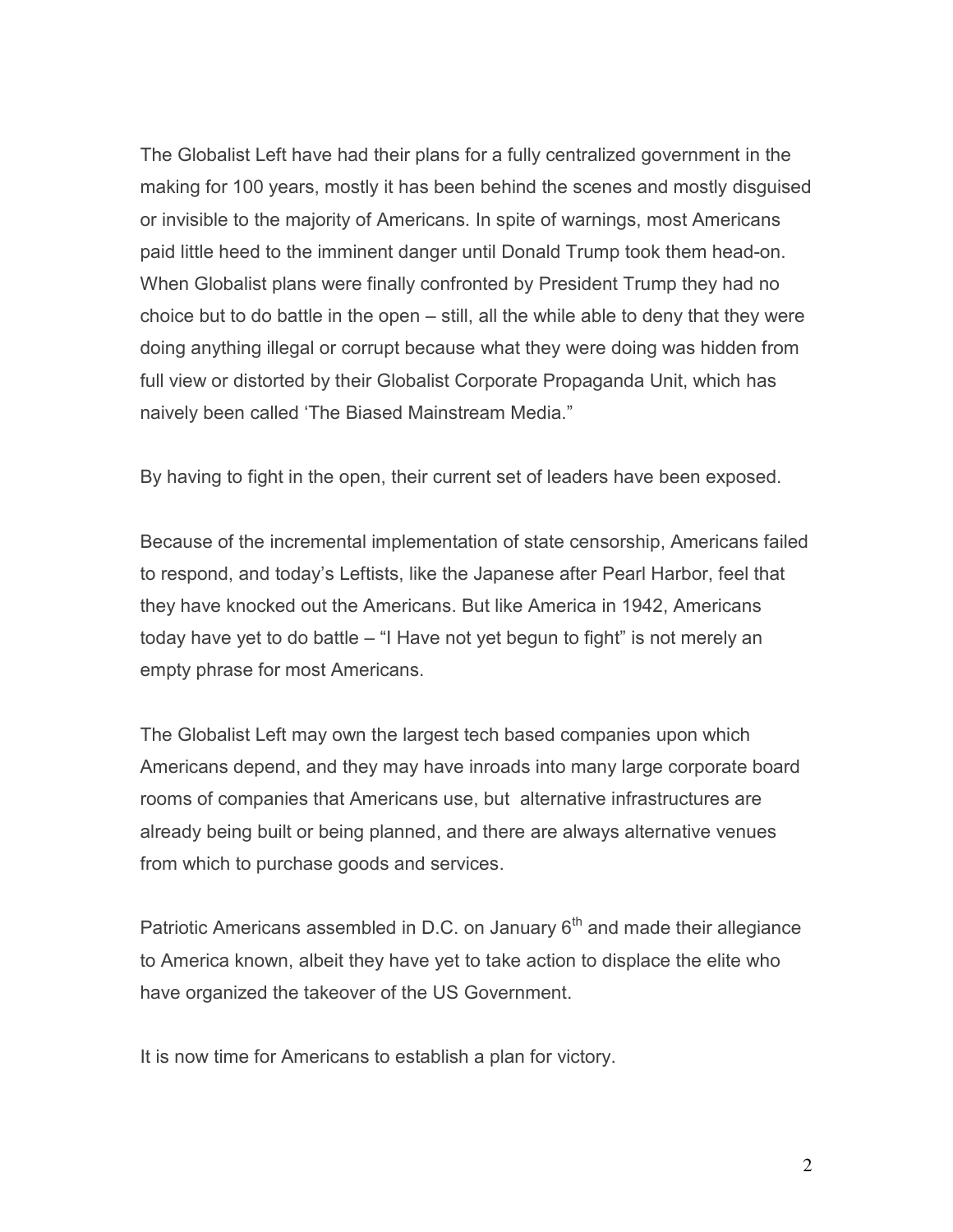The Globalist Left have had their plans for a fully centralized government in the making for 100 years, mostly it has been behind the scenes and mostly disguised or invisible to the majority of Americans. In spite of warnings, most Americans paid little heed to the imminent danger until Donald Trump took them head-on. When Globalist plans were finally confronted by President Trump they had no choice but to do battle in the open – still, all the while able to deny that they were doing anything illegal or corrupt because what they were doing was hidden from full view or distorted by their Globalist Corporate Propaganda Unit, which has naively been called 'The Biased Mainstream Media."

By having to fight in the open, their current set of leaders have been exposed.

Because of the incremental implementation of state censorship, Americans failed to respond, and today's Leftists, like the Japanese after Pearl Harbor, feel that they have knocked out the Americans. But like America in 1942, Americans today have yet to do battle – "I Have not yet begun to fight" is not merely an empty phrase for most Americans.

The Globalist Left may own the largest tech based companies upon which Americans depend, and they may have inroads into many large corporate board rooms of companies that Americans use, but alternative infrastructures are already being built or being planned, and there are always alternative venues from which to purchase goods and services.

Patriotic Americans assembled in D.C. on January  $6<sup>th</sup>$  and made their allegiance to America known, albeit they have yet to take action to displace the elite who have organized the takeover of the US Government.

It is now time for Americans to establish a plan for victory.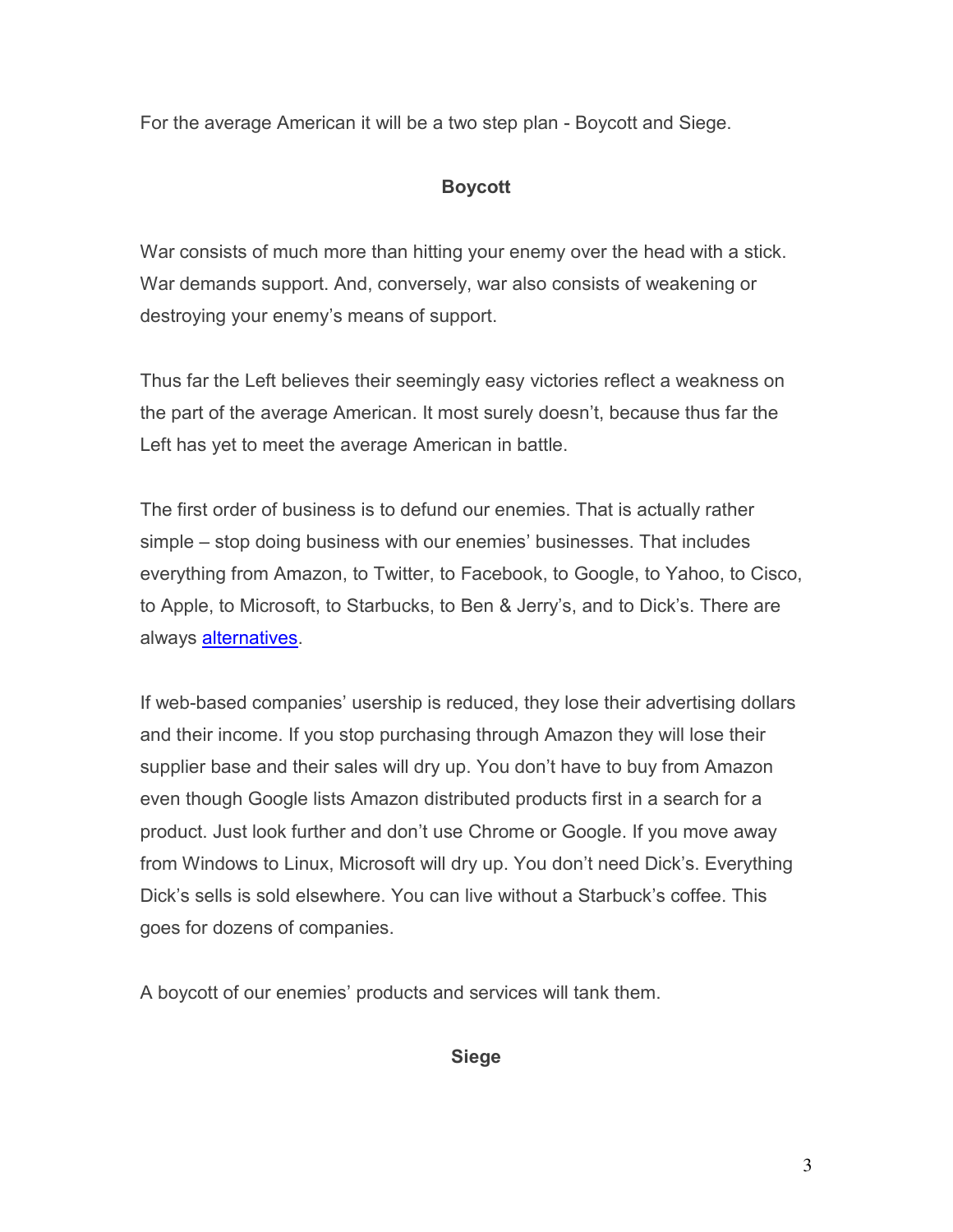For the average American it will be a two step plan - Boycott and Siege.

## **Boycott**

War consists of much more than hitting your enemy over the head with a stick. War demands support. And, conversely, war also consists of weakening or destroying your enemy's means of support.

Thus far the Left believes their seemingly easy victories reflect a weakness on the part of the average American. It most surely doesn't, because thus far the Left has yet to meet the average American in battle.

The first order of business is to defund our enemies. That is actually rather simple – stop doing business with our enemies' businesses. That includes everything from Amazon, to Twitter, to Facebook, to Google, to Yahoo, to Cisco, to Apple, to Microsoft, to Starbucks, to Ben & Jerry's, and to Dick's. There are always [alternatives.](https://www.fastcompany.com/1688604/see-where-major-companies-lean-politically)

If web-based companies' usership is reduced, they lose their advertising dollars and their income. If you stop purchasing through Amazon they will lose their supplier base and their sales will dry up. You don't have to buy from Amazon even though Google lists Amazon distributed products first in a search for a product. Just look further and don't use Chrome or Google. If you move away from Windows to Linux, Microsoft will dry up. You don't need Dick's. Everything Dick's sells is sold elsewhere. You can live without a Starbuck's coffee. This goes for dozens of companies.

A boycott of our enemies' products and services will tank them.

**Siege**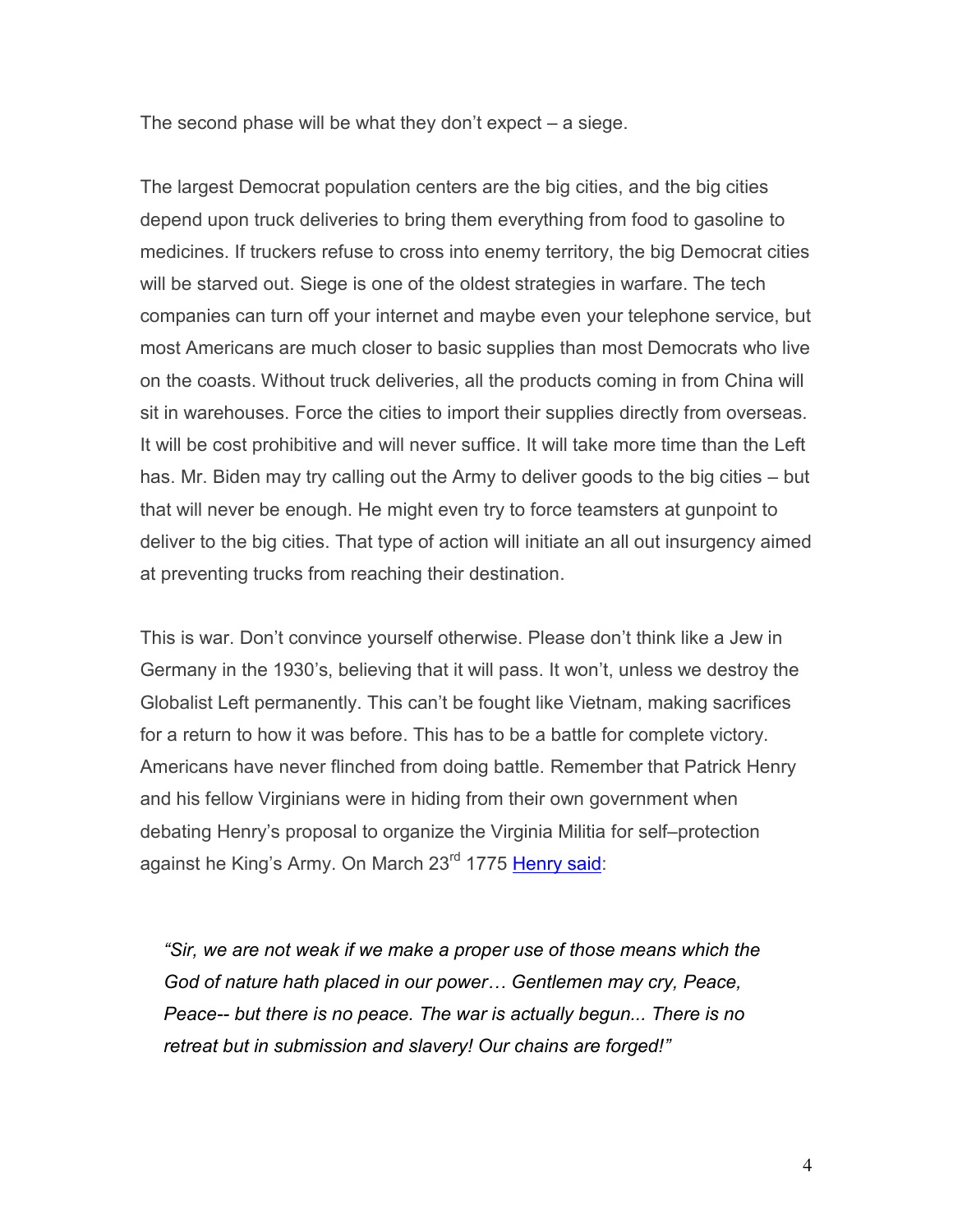The second phase will be what they don't expect – a siege.

The largest Democrat population centers are the big cities, and the big cities depend upon truck deliveries to bring them everything from food to gasoline to medicines. If truckers refuse to cross into enemy territory, the big Democrat cities will be starved out. Siege is one of the oldest strategies in warfare. The tech companies can turn off your internet and maybe even your telephone service, but most Americans are much closer to basic supplies than most Democrats who live on the coasts. Without truck deliveries, all the products coming in from China will sit in warehouses. Force the cities to import their supplies directly from overseas. It will be cost prohibitive and will never suffice. It will take more time than the Left has. Mr. Biden may try calling out the Army to deliver goods to the big cities – but that will never be enough. He might even try to force teamsters at gunpoint to deliver to the big cities. That type of action will initiate an all out insurgency aimed at preventing trucks from reaching their destination.

This is war. Don't convince yourself otherwise. Please don't think like a Jew in Germany in the 1930's, believing that it will pass. It won't, unless we destroy the Globalist Left permanently. This can't be fought like Vietnam, making sacrifices for a return to how it was before. This has to be a battle for complete victory. Americans have never flinched from doing battle. Remember that Patrick Henry and his fellow Virginians were in hiding from their own government when debating Henry's proposal to organize the Virginia Militia for self–protection against he King's Army. On March 23<sup>rd</sup> 1775 [Henry said:](http://www.emersonkent.com/speeches/give_me_liberty_or_give_me_death.htm)

*"Sir, we are not weak if we make a proper use of those means which the God of nature hath placed in our power… Gentlemen may cry, Peace, Peace-- but there is no peace. The war is actually begun... There is no retreat but in submission and slavery! Our chains are forged!"*